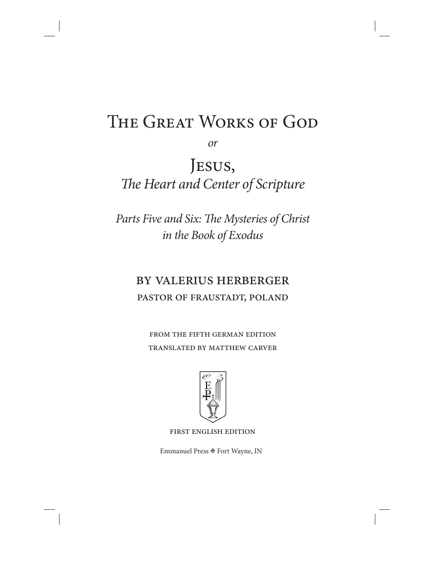# THE GREAT WORKS OF GOD

or

Jesus, The Heart and Center of Scripture

Parts Five and Six: The Mysteries of Christ in the Book of Exodus

# by valerius herberger pastor of fraustadt, poland

from the fifth german edition translated by matthew carver



first english edition

Emmanuel Press  $\mathbb F$  Fort Wayne, IN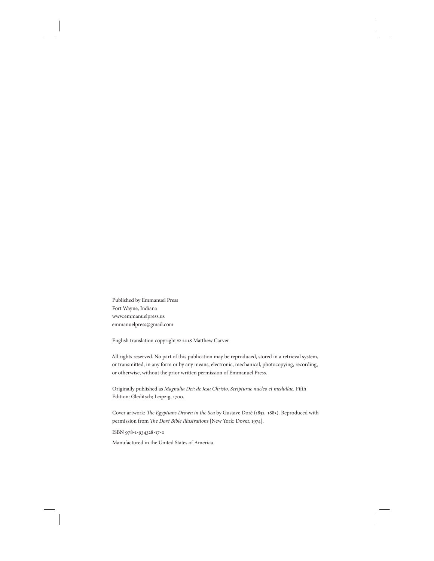Published by Emmanuel Press Fort Wayne, Indiana www.emmanuelpress.us emmanuelpress@gmail.com

English translation copyright © 2018 Matthew Carver

All rights reserved. No part of this publication may be reproduced, stored in a retrieval system, or transmitted, in any form or by any means, electronic, mechanical, photocopying, recording, or otherwise, without the prior written permission of Emmanuel Press.

Originally published as Magnalia Dei: de Jesu Christo, Scripturae nucleo et medullae, Fifth Edition: Gleditsch; Leipzig, 1700.

Cover artwork: The Egyptians Drown in the Sea by Gustave Doré (1832-1883). Reproduced with permission from The Doré Bible Illustrations [New York: Dover, 1974].

ISBN 978-1-934328-17-0

Manufactured in the United States of America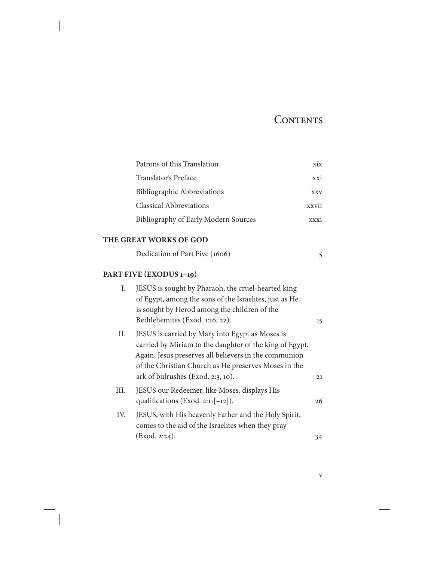## CONTENTS

v

| Patrons of this Translation          | X1X        |
|--------------------------------------|------------|
| Translator's Preface                 | XX1        |
| Bibliographic Abbreviations          | <b>XXV</b> |
| <b>Classical Abbreviations</b>       | XXV11      |
| Bibliography of Early Modern Sources |            |

#### **THE GREAT WORKS OF GOD**

| Dedication of Part Five (1606) |  |
|--------------------------------|--|
|--------------------------------|--|

## **PART FIVE (EXODUS 1–19)**

| Ι.   | JESUS is sought by Pharaoh, the cruel-hearted king                                                                                                                                                                                                               |    |
|------|------------------------------------------------------------------------------------------------------------------------------------------------------------------------------------------------------------------------------------------------------------------|----|
|      | of Egypt, among the sons of the Israelites, just as He<br>is sought by Herod among the children of the                                                                                                                                                           |    |
|      | Bethlehemites (Exod. 1:16, 22).                                                                                                                                                                                                                                  | 15 |
| II.  | JESUS is carried by Mary into Egypt as Moses is<br>carried by Miriam to the daughter of the king of Egypt.<br>Again, Jesus preserves all believers in the communion<br>of the Christian Church as He preserves Moses in the<br>ark of bulrushes (Exod. 2:3, 10). | 21 |
| III. | JESUS our Redeemer, like Moses, displays His<br>qualifications (Exod. $2:11[-12]$ ).                                                                                                                                                                             | 26 |
| IV.  | JESUS, with His heavenly Father and the Holy Spirit,<br>comes to the aid of the Israelites when they pray                                                                                                                                                        |    |
|      | (Exod. 2:24).                                                                                                                                                                                                                                                    | 34 |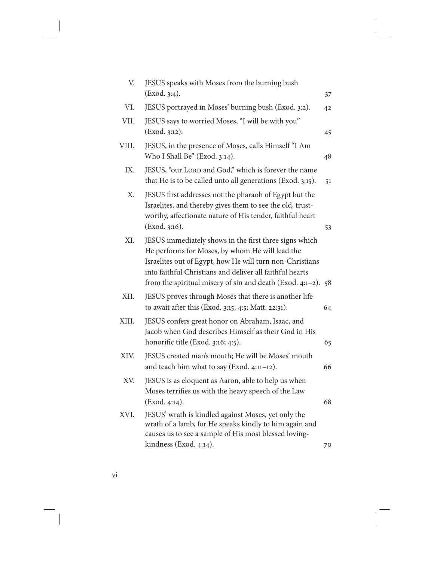| V.    | JESUS speaks with Moses from the burning bush                                                                                                                                                                                                                                                       |    |
|-------|-----------------------------------------------------------------------------------------------------------------------------------------------------------------------------------------------------------------------------------------------------------------------------------------------------|----|
|       | (Exod. 3:4).                                                                                                                                                                                                                                                                                        | 37 |
| VI.   | JESUS portrayed in Moses' burning bush (Exod. 3:2).                                                                                                                                                                                                                                                 | 42 |
| VII.  | JESUS says to worried Moses, "I will be with you"<br>(Exod. 3:12).                                                                                                                                                                                                                                  | 45 |
| VIII. | JESUS, in the presence of Moses, calls Himself "I Am<br>Who I Shall Be" (Exod. 3:14).                                                                                                                                                                                                               | 48 |
| IX.   | JESUS, "our LORD and God," which is forever the name<br>that He is to be called unto all generations (Exod. 3:15).                                                                                                                                                                                  | 51 |
| X.    | JESUS first addresses not the pharaoh of Egypt but the<br>Israelites, and thereby gives them to see the old, trust-<br>worthy, affectionate nature of His tender, faithful heart<br>(Exod. 3:16).                                                                                                   | 53 |
| XI.   | JESUS immediately shows in the first three signs which<br>He performs for Moses, by whom He will lead the<br>Israelites out of Egypt, how He will turn non-Christians<br>into faithful Christians and deliver all faithful hearts<br>from the spiritual misery of sin and death (Exod. 4:1-2). $58$ |    |
| XII.  | JESUS proves through Moses that there is another life<br>to await after this (Exod. 3:15; 4:5; Matt. 22:31).                                                                                                                                                                                        | 64 |
| XIII. | JESUS confers great honor on Abraham, Isaac, and<br>Jacob when God describes Himself as their God in His<br>honorific title (Exod. 3:16; 4:5).                                                                                                                                                      | 65 |
| XIV.  | JESUS created man's mouth; He will be Moses' mouth<br>and teach him what to say (Exod. 4:11-12).                                                                                                                                                                                                    | 66 |
| XV.   | JESUS is as eloquent as Aaron, able to help us when<br>Moses terrifies us with the heavy speech of the Law<br>(Exod. 4:14).                                                                                                                                                                         | 68 |
| XVI.  | JESUS' wrath is kindled against Moses, yet only the<br>wrath of a lamb, for He speaks kindly to him again and<br>causes us to see a sample of His most blessed loving-                                                                                                                              |    |
|       | kindness (Exod. 4:14).                                                                                                                                                                                                                                                                              | 70 |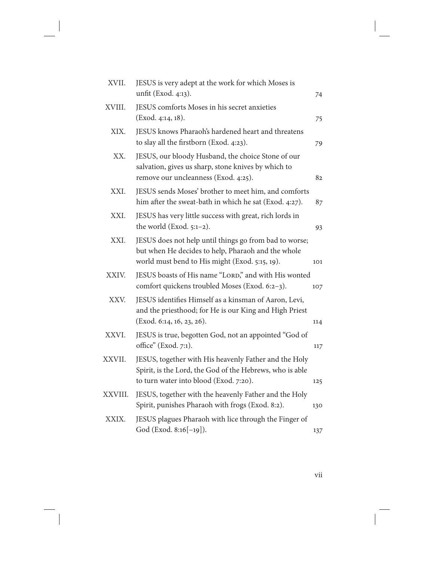| XVII.   | JESUS is very adept at the work for which Moses is<br>unfit (Exod. 4:13).                                                                                      | 74  |
|---------|----------------------------------------------------------------------------------------------------------------------------------------------------------------|-----|
| XVIII.  | JESUS comforts Moses in his secret anxieties<br>(Exod. 4:14, 18).                                                                                              | 75  |
| XIX.    | JESUS knows Pharaoh's hardened heart and threatens<br>to slay all the firstborn (Exod. 4:23).                                                                  | 79  |
| XX.     | JESUS, our bloody Husband, the choice Stone of our<br>salvation, gives us sharp, stone knives by which to<br>remove our uncleanness (Exod. 4:25).              | 82  |
| XXI.    | JESUS sends Moses' brother to meet him, and comforts<br>him after the sweat-bath in which he sat (Exod. 4:27).                                                 | 87  |
| XXI.    | JESUS has very little success with great, rich lords in<br>the world (Exod. $5:1-2$ ).                                                                         | 93  |
| XXI.    | JESUS does not help until things go from bad to worse;<br>but when He decides to help, Pharaoh and the whole<br>world must bend to His might (Exod. 5:15, 19). | 101 |
| XXIV.   | JESUS boasts of His name "LORD," and with His wonted<br>comfort quickens troubled Moses (Exod. 6:2-3).                                                         | 107 |
| XXV.    | JESUS identifies Himself as a kinsman of Aaron, Levi,<br>and the priesthood; for He is our King and High Priest<br>(Exod. 6:14, 16, 23, 26).                   | 114 |
| XXVI.   | JESUS is true, begotten God, not an appointed "God of<br>office" (Exod. 7:1).                                                                                  | 117 |
| XXVII.  | JESUS, together with His heavenly Father and the Holy<br>Spirit, is the Lord, the God of the Hebrews, who is able<br>to turn water into blood (Exod. 7:20).    | 125 |
| XXVIII. | JESUS, together with the heavenly Father and the Holy<br>Spirit, punishes Pharaoh with frogs (Exod. 8:2).                                                      | 130 |
| XXIX.   | JESUS plagues Pharaoh with lice through the Finger of<br>God (Exod. 8:16[-19]).                                                                                | 137 |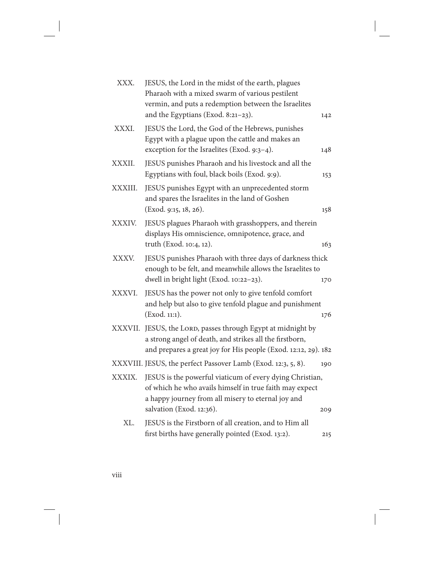| XXX.    | JESUS, the Lord in the midst of the earth, plagues<br>Pharaoh with a mixed swarm of various pestilent<br>vermin, and puts a redemption between the Israelites<br>and the Egyptians (Exod. 8:21-23).   | 142 |
|---------|-------------------------------------------------------------------------------------------------------------------------------------------------------------------------------------------------------|-----|
| XXXI.   | JESUS the Lord, the God of the Hebrews, punishes<br>Egypt with a plague upon the cattle and makes an<br>exception for the Israelites (Exod. 9:3-4).                                                   | 148 |
| XXXII.  | JESUS punishes Pharaoh and his livestock and all the<br>Egyptians with foul, black boils (Exod. 9:9).                                                                                                 | 153 |
| XXXIII. | JESUS punishes Egypt with an unprecedented storm<br>and spares the Israelites in the land of Goshen<br>(Exod. 9:15, 18, 26).                                                                          | 158 |
| XXXIV.  | JESUS plagues Pharaoh with grasshoppers, and therein<br>displays His omniscience, omnipotence, grace, and<br>truth (Exod. 10:4, 12).                                                                  | 163 |
| XXXV.   | JESUS punishes Pharaoh with three days of darkness thick<br>enough to be felt, and meanwhile allows the Israelites to<br>dwell in bright light (Exod. 10:22-23).                                      | 170 |
| XXXVI.  | JESUS has the power not only to give tenfold comfort<br>and help but also to give tenfold plague and punishment<br>(Exod. 11:1).                                                                      | 176 |
|         | XXXVII. JESUS, the LORD, passes through Egypt at midnight by<br>a strong angel of death, and strikes all the firstborn,<br>and prepares a great joy for His people (Exod. 12:12, 29). 182             |     |
|         | XXXVIII. JESUS, the perfect Passover Lamb (Exod. 12:3, 5, 8).                                                                                                                                         | 190 |
| XXXIX.  | JESUS is the powerful viaticum of every dying Christian,<br>of which he who avails himself in true faith may expect<br>a happy journey from all misery to eternal joy and<br>salvation (Exod. 12:36). | 209 |
| XL.     | JESUS is the Firstborn of all creation, and to Him all<br>first births have generally pointed (Exod. 13:2).                                                                                           | 215 |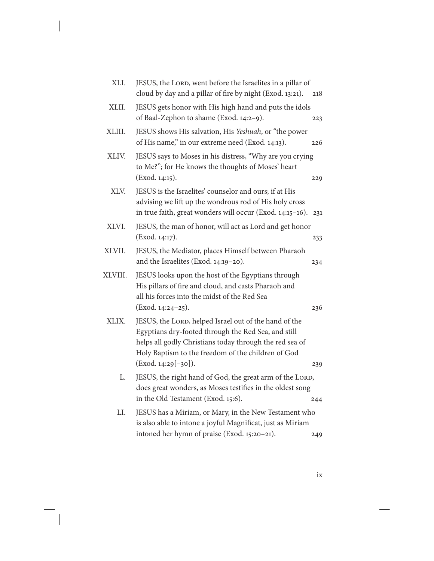| XLI.    | JESUS, the LORD, went before the Israelites in a pillar of<br>cloud by day and a pillar of fire by night (Exod. 13:21).                                                                                                                              | 218 |
|---------|------------------------------------------------------------------------------------------------------------------------------------------------------------------------------------------------------------------------------------------------------|-----|
| XLII.   | JESUS gets honor with His high hand and puts the idols<br>of Baal-Zephon to shame (Exod. 14:2-9).                                                                                                                                                    | 223 |
| XLIII.  | JESUS shows His salvation, His Yeshuah, or "the power<br>of His name," in our extreme need (Exod. 14:13).                                                                                                                                            | 226 |
| XLIV.   | JESUS says to Moses in his distress, "Why are you crying<br>to Me?"; for He knows the thoughts of Moses' heart<br>(Exod. 14:15).                                                                                                                     | 229 |
| XLV.    | JESUS is the Israelites' counselor and ours; if at His<br>advising we lift up the wondrous rod of His holy cross<br>in true faith, great wonders will occur (Exod. 14:15-16).                                                                        | 231 |
| XLVI.   | JESUS, the man of honor, will act as Lord and get honor<br>(Exod. 14:17).                                                                                                                                                                            | 233 |
| XLVII.  | JESUS, the Mediator, places Himself between Pharaoh<br>and the Israelites (Exod. 14:19-20).                                                                                                                                                          | 234 |
| XLVIII. | JESUS looks upon the host of the Egyptians through<br>His pillars of fire and cloud, and casts Pharaoh and<br>all his forces into the midst of the Red Sea<br>(Exod. 14:24-25).                                                                      | 236 |
| XLIX.   | JESUS, the LORD, helped Israel out of the hand of the<br>Egyptians dry-footed through the Red Sea, and still<br>helps all godly Christians today through the red sea of<br>Holy Baptism to the freedom of the children of God<br>(Exod. 14:29[-30]). | 239 |
| L.      | JESUS, the right hand of God, the great arm of the LORD,<br>does great wonders, as Moses testifies in the oldest song<br>in the Old Testament (Exod. 15:6).                                                                                          | 244 |
| LI.     | JESUS has a Miriam, or Mary, in the New Testament who<br>is also able to intone a joyful Magnificat, just as Miriam<br>intoned her hymn of praise (Exod. 15:20-21).                                                                                  | 249 |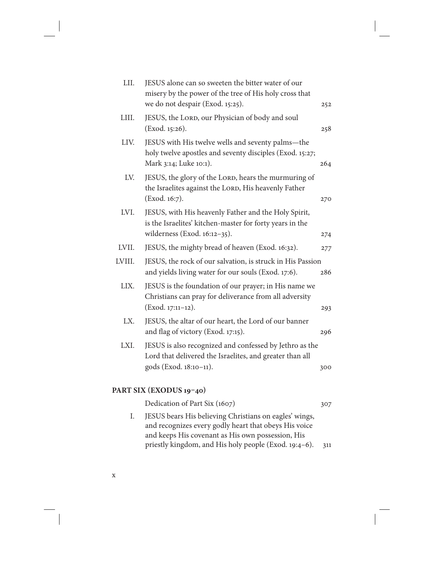| LII.   | JESUS alone can so sweeten the bitter water of our<br>misery by the power of the tree of His holy cross that<br>we do not despair (Exod. 15:25). | 252 |
|--------|--------------------------------------------------------------------------------------------------------------------------------------------------|-----|
| LIII.  | JESUS, the LORD, our Physician of body and soul<br>(Exod. 15:26).                                                                                | 258 |
| LIV.   | JESUS with His twelve wells and seventy palms-the<br>holy twelve apostles and seventy disciples (Exod. 15:27;<br>Mark 3:14; Luke 10:1).          | 264 |
| LV.    | JESUS, the glory of the LORD, hears the murmuring of<br>the Israelites against the LORD, His heavenly Father<br>(Exod. 16:7).                    | 270 |
| LVI.   | JESUS, with His heavenly Father and the Holy Spirit,<br>is the Israelites' kitchen-master for forty years in the<br>wilderness (Exod. 16:12-35). | 274 |
| LVII.  | JESUS, the mighty bread of heaven (Exod. 16:32).                                                                                                 | 277 |
| LVIII. | JESUS, the rock of our salvation, is struck in His Passion<br>and yields living water for our souls (Exod. 17:6).                                | 286 |
| LIX.   | JESUS is the foundation of our prayer; in His name we<br>Christians can pray for deliverance from all adversity<br>(Exod. 17:11-12).             | 293 |
| LX.    | JESUS, the altar of our heart, the Lord of our banner<br>and flag of victory (Exod. 17:15).                                                      | 296 |
| LXI.   | JESUS is also recognized and confessed by Jethro as the<br>Lord that delivered the Israelites, and greater than all<br>gods (Exod. 18:10-11).    | 300 |
|        |                                                                                                                                                  |     |

### **PART SIX (EXODUS 19–40)**

Dedication of Part Six (1607) 307 I. JESUS bears His believing Christians on eagles' wings, and recognizes every godly heart that obeys His voice and keeps His covenant as His own possession, His priestly kingdom, and His holy people (Exod. 19:4–6). 311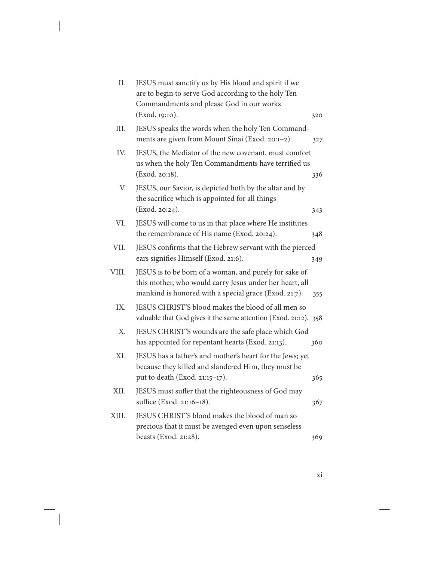| II.   | JESUS must sanctify us by His blood and spirit if we<br>are to begin to serve God according to the holy Ten<br>Commandments and please God in our works                    |     |
|-------|----------------------------------------------------------------------------------------------------------------------------------------------------------------------------|-----|
|       | (Exod. 19:10).                                                                                                                                                             | 320 |
| III.  | JESUS speaks the words when the holy Ten Command-<br>ments are given from Mount Sinai (Exod. 20:1-2).                                                                      | 327 |
| IV.   | JESUS, the Mediator of the new covenant, must comfort<br>us when the holy Ten Commandments have terrified us<br>(Exod. 20:18).                                             | 336 |
| V.    | JESUS, our Savior, is depicted both by the altar and by<br>the sacrifice which is appointed for all things<br>(Exod. 20:24).                                               | 343 |
| VI.   | JESUS will come to us in that place where He institutes<br>the remembrance of His name (Exod. 20:24).                                                                      | 348 |
| VII.  | JESUS confirms that the Hebrew servant with the pierced<br>ears signifies Himself (Exod. 21:6).                                                                            | 349 |
| VIII. | JESUS is to be born of a woman, and purely for sake of<br>this mother, who would carry Jesus under her heart, all<br>mankind is honored with a special grace (Exod. 21:7). | 355 |
| IX.   | JESUS CHRIST'S blood makes the blood of all men so<br>valuable that God gives it the same attention (Exod. 21:12). 358                                                     |     |
| X.    | JESUS CHRIST'S wounds are the safe place which God<br>has appointed for repentant hearts (Exod. 21:13).                                                                    | 360 |
| XI.   | JESUS has a father's and mother's heart for the Jews; yet<br>because they killed and slandered Him, they must be                                                           |     |
|       | put to death (Exod. 21:15-17).                                                                                                                                             | 365 |
| XII.  | JESUS must suffer that the righteousness of God may<br>suffice (Exod. 21:16-18).                                                                                           | 367 |
| XIII. | JESUS CHRIST'S blood makes the blood of man so<br>precious that it must be avenged even upon senseless<br>beasts (Exod. 21:28).                                            | 369 |
|       |                                                                                                                                                                            |     |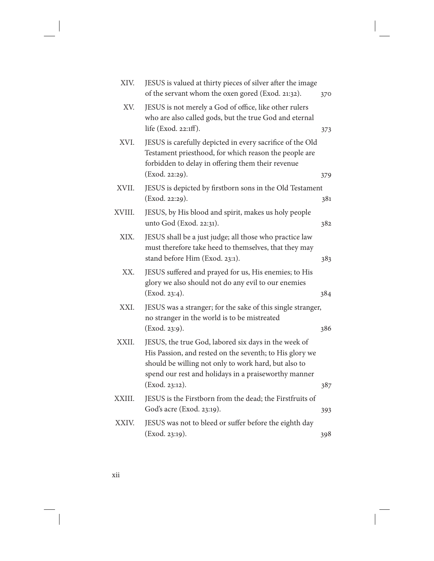| XIV.   | JESUS is valued at thirty pieces of silver after the image<br>of the servant whom the oxen gored (Exod. 21:32).                                                                                                                                   | 370 |
|--------|---------------------------------------------------------------------------------------------------------------------------------------------------------------------------------------------------------------------------------------------------|-----|
| XV.    | JESUS is not merely a God of office, like other rulers<br>who are also called gods, but the true God and eternal<br>life (Exod. 22:1ff).                                                                                                          | 373 |
| XVI.   | JESUS is carefully depicted in every sacrifice of the Old<br>Testament priesthood, for which reason the people are<br>forbidden to delay in offering them their revenue<br>(Exod. 22:29).                                                         | 379 |
| XVII.  | JESUS is depicted by firstborn sons in the Old Testament<br>(Exod. 22:29).                                                                                                                                                                        | 381 |
| XVIII. | JESUS, by His blood and spirit, makes us holy people<br>unto God (Exod. 22:31).                                                                                                                                                                   | 382 |
| XIX.   | JESUS shall be a just judge; all those who practice law<br>must therefore take heed to themselves, that they may<br>stand before Him (Exod. 23:1).                                                                                                | 383 |
| XX.    | JESUS suffered and prayed for us, His enemies; to His<br>glory we also should not do any evil to our enemies<br>(Exod. 23:4).                                                                                                                     | 384 |
| XXI.   | JESUS was a stranger; for the sake of this single stranger,<br>no stranger in the world is to be mistreated<br>(Exod. 23:9).                                                                                                                      | 386 |
| XXII.  | JESUS, the true God, labored six days in the week of<br>His Passion, and rested on the seventh; to His glory we<br>should be willing not only to work hard, but also to<br>spend our rest and holidays in a praiseworthy manner<br>(Exod. 23:12). | 387 |
| XXIII. | JESUS is the Firstborn from the dead; the Firstfruits of<br>God's acre (Exod. 23:19).                                                                                                                                                             | 393 |
| XXIV.  | JESUS was not to bleed or suffer before the eighth day<br>(Exod. 23:19).                                                                                                                                                                          | 398 |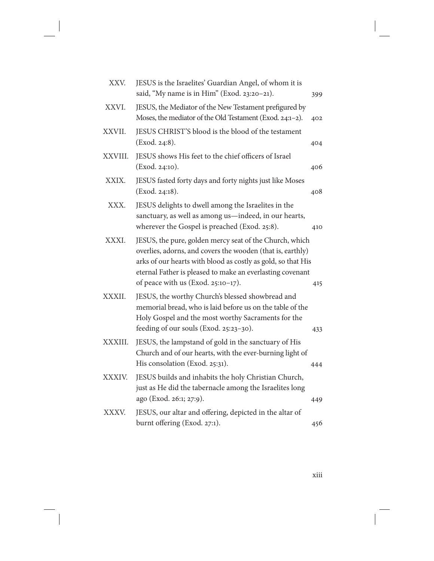| XXV.    | JESUS is the Israelites' Guardian Angel, of whom it is<br>said, "My name is in Him" (Exod. 23:20-21).                                                                                                                                                                                    | 399 |
|---------|------------------------------------------------------------------------------------------------------------------------------------------------------------------------------------------------------------------------------------------------------------------------------------------|-----|
| XXVI.   | JESUS, the Mediator of the New Testament prefigured by<br>Moses, the mediator of the Old Testament (Exod. 24:1-2).                                                                                                                                                                       | 402 |
| XXVII.  | JESUS CHRIST'S blood is the blood of the testament<br>(Exod. 24:8).                                                                                                                                                                                                                      | 404 |
| XXVIII. | JESUS shows His feet to the chief officers of Israel<br>(Exod. 24:10).                                                                                                                                                                                                                   | 406 |
| XXIX.   | JESUS fasted forty days and forty nights just like Moses<br>(Exod. 24:18).                                                                                                                                                                                                               | 408 |
| XXX.    | JESUS delights to dwell among the Israelites in the<br>sanctuary, as well as among us-indeed, in our hearts,<br>wherever the Gospel is preached (Exod. 25:8).                                                                                                                            | 410 |
| XXXI.   | JESUS, the pure, golden mercy seat of the Church, which<br>overlies, adorns, and covers the wooden (that is, earthly)<br>arks of our hearts with blood as costly as gold, so that His<br>eternal Father is pleased to make an everlasting covenant<br>of peace with us (Exod. 25:10-17). | 415 |
| XXXII.  | JESUS, the worthy Church's blessed showbread and<br>memorial bread, who is laid before us on the table of the<br>Holy Gospel and the most worthy Sacraments for the<br>feeding of our souls (Exod. 25:23-30).                                                                            | 433 |
| XXXIII. | JESUS, the lampstand of gold in the sanctuary of His<br>Church and of our hearts, with the ever-burning light of<br>His consolation (Exod. 25:31).                                                                                                                                       | 444 |
| XXXIV.  | JESUS builds and inhabits the holy Christian Church,<br>just as He did the tabernacle among the Israelites long<br>ago (Exod. 26:1; 27:9).                                                                                                                                               | 449 |
| XXXV.   | JESUS, our altar and offering, depicted in the altar of<br>burnt offering (Exod. 27:1).                                                                                                                                                                                                  | 456 |

xiii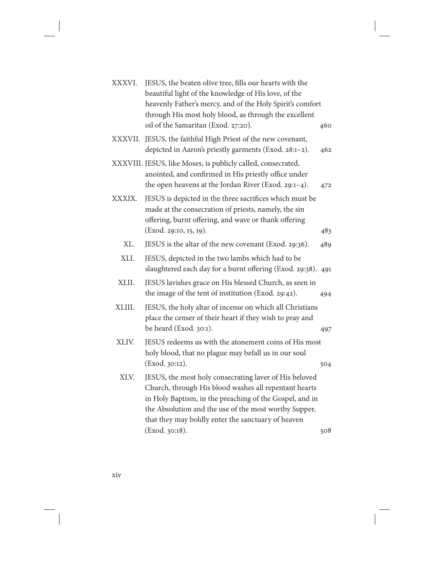| XXXVI.  | JESUS, the beaten olive tree, fills our hearts with the<br>beautiful light of the knowledge of His love, of the<br>heavenly Father's mercy, and of the Holy Spirit's comfort<br>through His most holy blood, as through the excellent<br>oil of the Samaritan (Exod. 27:20).                                | 460 |
|---------|-------------------------------------------------------------------------------------------------------------------------------------------------------------------------------------------------------------------------------------------------------------------------------------------------------------|-----|
| XXXVII. | JESUS, the faithful High Priest of the new covenant,<br>depicted in Aaron's priestly garments (Exod. 28:1-2).                                                                                                                                                                                               | 462 |
|         | XXXVIII. JESUS, like Moses, is publicly called, consecrated,<br>anointed, and confirmed in His priestly office under<br>the open heavens at the Jordan River (Exod. 29:1-4).                                                                                                                                | 472 |
| XXXIX.  | JESUS is depicted in the three sacrifices which must be<br>made at the consecration of priests, namely, the sin<br>offering, burnt offering, and wave or thank offering<br>(Exod. 29:10, 15, 19).                                                                                                           | 483 |
| XL.     | JESUS is the altar of the new covenant (Exod. 29:36).                                                                                                                                                                                                                                                       | 489 |
| XLI.    | JESUS, depicted in the two lambs which had to be<br>slaughtered each day for a burnt offering (Exod. 29:38).                                                                                                                                                                                                | 491 |
| XLII.   | JESUS lavishes grace on His blessed Church, as seen in<br>the image of the tent of institution (Exod. 29:42).                                                                                                                                                                                               | 494 |
| XLIII.  | JESUS, the holy altar of incense on which all Christians<br>place the censer of their heart if they wish to pray and<br>be heard (Exod. 30:1).                                                                                                                                                              | 497 |
| XLIV.   | JESUS redeems us with the atonement coins of His most<br>holy blood, that no plague may befall us in our soul<br>(Exod. 30:12).                                                                                                                                                                             | 504 |
| XLV.    | JESUS, the most holy consecrating laver of His beloved<br>Church, through His blood washes all repentant hearts<br>in Holy Baptism, in the preaching of the Gospel, and in<br>the Absolution and the use of the most worthy Supper,<br>that they may boldly enter the sanctuary of heaven<br>(Exod. 30:18). | 508 |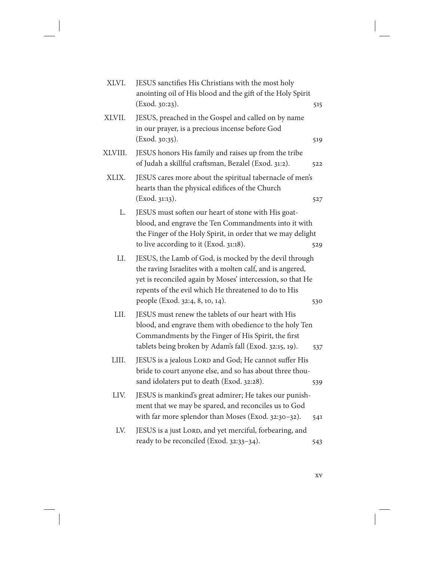| XLVI.   | JESUS sanctifies His Christians with the most holy<br>anointing oil of His blood and the gift of the Holy Spirit<br>(Exod. 30:23).                                                                                                                                           | 515 |
|---------|------------------------------------------------------------------------------------------------------------------------------------------------------------------------------------------------------------------------------------------------------------------------------|-----|
| XLVII.  | JESUS, preached in the Gospel and called on by name<br>in our prayer, is a precious incense before God<br>(Exod. 30:35).                                                                                                                                                     | 519 |
| XLVIII. | JESUS honors His family and raises up from the tribe<br>of Judah a skillful craftsman, Bezalel (Exod. 31:2).                                                                                                                                                                 | 522 |
| XLIX.   | JESUS cares more about the spiritual tabernacle of men's<br>hearts than the physical edifices of the Church<br>(Exod. 31:13).                                                                                                                                                | 527 |
| L.      | JESUS must soften our heart of stone with His goat-<br>blood, and engrave the Ten Commandments into it with<br>the Finger of the Holy Spirit, in order that we may delight<br>to live according to it (Exod. 31:18).                                                         | 529 |
| LI.     | JESUS, the Lamb of God, is mocked by the devil through<br>the raving Israelites with a molten calf, and is angered,<br>yet is reconciled again by Moses' intercession, so that He<br>repents of the evil which He threatened to do to His<br>people (Exod. 32:4, 8, 10, 14). | 530 |
| LII.    | JESUS must renew the tablets of our heart with His<br>blood, and engrave them with obedience to the holy Ten<br>Commandments by the Finger of His Spirit, the first<br>tablets being broken by Adam's fall (Exod. 32:15, 19).                                                | 537 |
| LIII.   | JESUS is a jealous LORD and God; He cannot suffer His<br>bride to court anyone else, and so has about three thou-<br>sand idolaters put to death (Exod. 32:28).                                                                                                              | 539 |
| LIV.    | JESUS is mankind's great admirer; He takes our punish-<br>ment that we may be spared, and reconciles us to God<br>with far more splendor than Moses (Exod. 32:30-32).                                                                                                        | 541 |
| LV.     | JESUS is a just LORD, and yet merciful, forbearing, and<br>ready to be reconciled (Exod. 32:33-34).                                                                                                                                                                          | 543 |

xv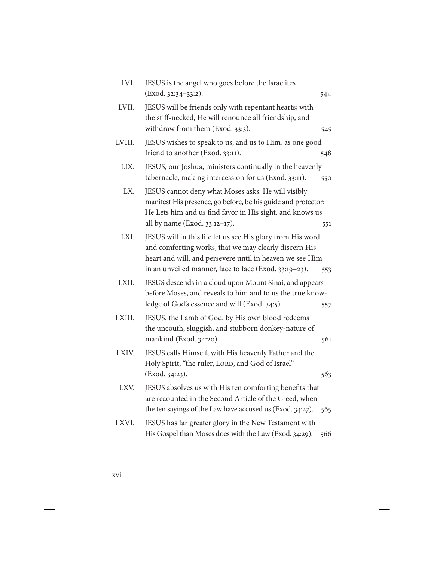| LVI.   | JESUS is the angel who goes before the Israelites                                                                                                                                                                                        |     |
|--------|------------------------------------------------------------------------------------------------------------------------------------------------------------------------------------------------------------------------------------------|-----|
|        | (Exod. 32:34-33:2).                                                                                                                                                                                                                      | 544 |
| LVII.  | JESUS will be friends only with repentant hearts; with<br>the stiff-necked, He will renounce all friendship, and<br>withdraw from them (Exod. 33:3).                                                                                     | 545 |
| LVIII. | JESUS wishes to speak to us, and us to Him, as one good<br>friend to another (Exod. 33:11).                                                                                                                                              | 548 |
| LIX.   | JESUS, our Joshua, ministers continually in the heavenly<br>tabernacle, making intercession for us (Exod. 33:11).                                                                                                                        | 550 |
| LX.    | JESUS cannot deny what Moses asks: He will visibly<br>manifest His presence, go before, be his guide and protector;<br>He Lets him and us find favor in His sight, and knows us<br>all by name (Exod. 33:12-17).                         | 551 |
| LXI.   | JESUS will in this life let us see His glory from His word<br>and comforting works, that we may clearly discern His<br>heart and will, and persevere until in heaven we see Him<br>in an unveiled manner, face to face (Exod. 33:19-23). | 553 |
| LXII.  | JESUS descends in a cloud upon Mount Sinai, and appears<br>before Moses, and reveals to him and to us the true know-<br>ledge of God's essence and will (Exod. 34:5).                                                                    | 557 |
| LXIII. | JESUS, the Lamb of God, by His own blood redeems<br>the uncouth, sluggish, and stubborn donkey-nature of<br>mankind (Exod. 34:20).                                                                                                       | 561 |
| LXIV.  | JESUS calls Himself, with His heavenly Father and the<br>Holy Spirit, "the ruler, LORD, and God of Israel"<br>(Exod. 34:23).                                                                                                             | 563 |
| LXV.   | JESUS absolves us with His ten comforting benefits that<br>are recounted in the Second Article of the Creed, when<br>the ten sayings of the Law have accused us (Exod. 34:27).                                                           | 565 |
| LXVI.  | JESUS has far greater glory in the New Testament with<br>His Gospel than Moses does with the Law (Exod. 34:29).                                                                                                                          | 566 |